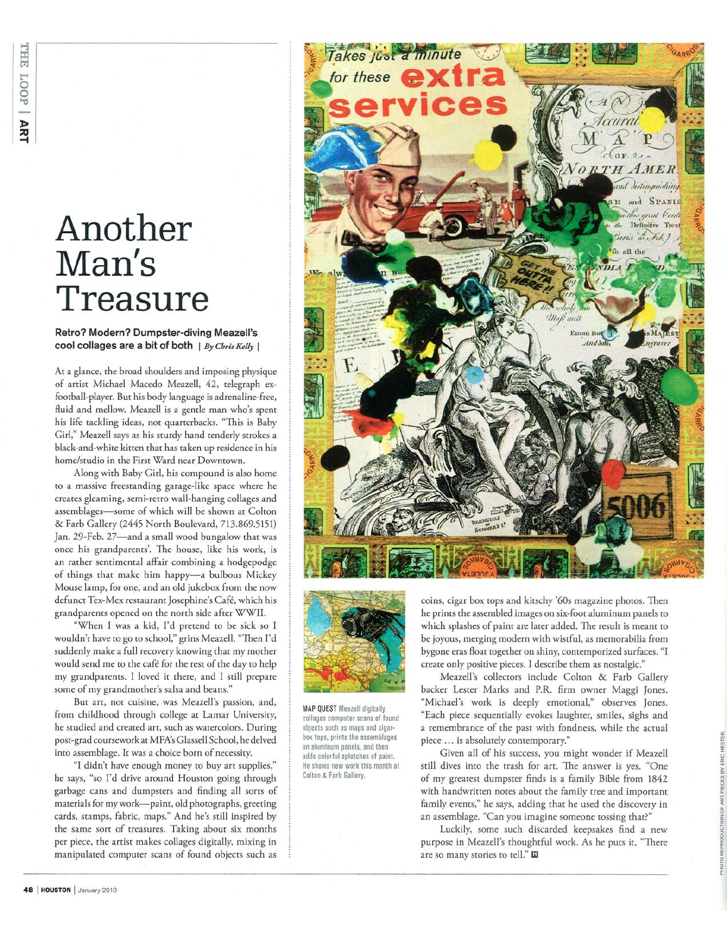## Another Man's Treasure

## Retro? Modern? Dumpster-diving Meazell's cool collages are a bit of both  $|By Christfully|$

At a glance, the broad shoulders and imposing physique of artist Michael Macedo Meazell, 42, telegraph exfootball-player. But his body language is adrenaline-free, fluid and mellow. Meazell is a gentle man who's spent his life tackling ideas, not quarterbacks. "This is Baby Girl," Meazell says as his sturdy hand tenderly strokes a black-and-white kitten that has taken up residence in his home/studio in the First Ward near Downtown.

Along with Baby Girl, his compound is also home to a massive freestanding garage-like space where he creates gleaming, semi-retro wall-hanging collages and assemblages-some of which will be shown at Colton & Farb Gallery (2445 North Boulevard, 713.869.5151) Jan. 29-Feb. 27-and a small wood bungalow that was once his grandparents'. The house, like his work, is an rather sentimental affair combining a hodgepodge of things that make him happy-a bulbous Mickey Mouse lamp, for one, and an old jukebox from the now defunct Tex-Mex restaurant Josephine's Café, which his grandparents opened on the north side after WWII.

"When I was a kid, I'd pretend to be sick so I wouldn't have to go to school," grins Meazell. "Then I'd suddenly make a full recovery knowing that my mother would send me to the café for the rest of the day to help my grandparents. I loved it there, and I still prepare some of my grandmother's salsa and beans."

But art, not cuisine, was Meazell's passion, and, from childhood through college at Lamar University, he studied and created art, such as watercolors. During post-grad coursework at MFA's Glassell School, he delved into assemblage. It was a choice born of necessity.

"I didn't have enough money to buy art supplies," he says, "so I'd drive around Houston going through garbage cans and dumpsters and finding all sorts of materials for my work-paint, old photographs, greeting cards, stamps, fabric, maps." And he's still inspired by the same sort of treasures. Taking about six months per piece, the artist makes collages digitally, mixing in manipulated computer scans of found objects such as





**MAP QUEST Meazell digitally** collages computer scans of found objects such as maps and cigarbox tops, prints the assemblages on aluminum panels, and then adds colorful splotches of paint. He shows new work this month at Colton & Farb Gallery.

coins, cigar box tops and kitschy '60s magazine photos. Then he prints the assembled images on six-foot aluminum panels to which splashes of paint are later added. The result is meant to be joyous, merging modern with wistful, as memorabilia from bygone eras float together on shiny, contemporized surfaces. "I create only positive pieces. I describe them as nostalgic."

Meazell's collectors include Colton & Farb Gallery backer Lester Marks and P.R. firm owner Maggi Jones. "Michael's work is deeply emotional," observes Jones. "Each piece sequentially evokes laughter, smiles, sighs and a remembrance of the past with fondness, while the actual piece ... is absolutely contemporary."

Given all of his success, you might wonder if Meazell still dives into the trash for art. The answer is yes. "One of my greatest dumpster finds is a family Bible from 1842 with handwritten notes about the family tree and important family events," he says, adding that he used the discovery in an assemblage. "Can you imagine someone tossing that?"

Luckily, some such discarded keepsakes find a new purpose in Meazell's thoughtful work. As he puts it, "There are so many stories to tell." El